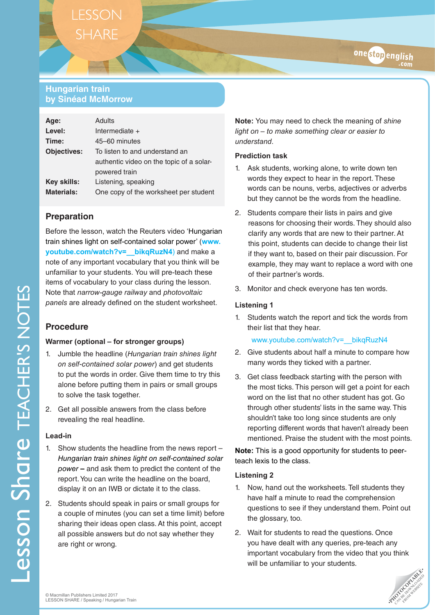# **Hungarian train by Sinéad McMorrow**

| Age:               | Adults                                   |
|--------------------|------------------------------------------|
| Level:             | Intermediate $+$                         |
| Time:              | 45-60 minutes                            |
| <b>Objectives:</b> | To listen to and understand an           |
|                    | authentic video on the topic of a solar- |
|                    | powered train                            |
| Key skills:        | Listening, speaking                      |
| <b>Materials:</b>  | One copy of the worksheet per student    |
|                    |                                          |

## **Preparation**

Before the lesson, watch the Reuters video 'Hungarian train shines light on self-contained solar power' (**[www.](http://www.youtube.com/watch?v=__bikqRuzN4)) youtube.com/watch?v=** bikgRuzN4) and make a note of any important vocabulary that you think will be unfamiliar to your students. You will pre-teach these items of vocabulary to your class during the lesson. Note that *narrow-gauge railway* and *photovoltaic panels* are already defined on the student worksheet.

## **Procedure**

#### **Warmer (optional – for stronger groups)**

- 1. Jumble the headline (*Hungarian train shines light on self-contained solar power*) and get students to put the words in order. Give them time to try this alone before putting them in pairs or small groups to solve the task together.
- 2. Get all possible answers from the class before revealing the real headline.

#### **Lead-in**

- 1. Show students the headline from the news report *Hungarian train shines light on self-contained solar power* **–** and ask them to predict the content of the report. You can write the headline on the board, display it on an IWB or dictate it to the class.
- 2. Students should speak in pairs or small groups for a couple of minutes (you can set a time limit) before sharing their ideas open class. At this point, accept all possible answers but do not say whether they are right or wrong.

**Note:** You may need to check the meaning of *shine light on* – *to make something clear or easier to understand*.

onestopenglish

### **Prediction task**

- 1. Ask students, working alone, to write down ten words they expect to hear in the report. These words can be nouns, verbs, adjectives or adverbs but they cannot be the words from the headline.
- 2. Students compare their lists in pairs and give reasons for choosing their words. They should also clarify any words that are new to their partner. At this point, students can decide to change their list if they want to, based on their pair discussion. For example, they may want to replace a word with one of their partner's words.
- 3. Monitor and check everyone has ten words.

## **Listening 1**

1. Students watch the report and tick the words from their list that they hear.

#### www.youtube.com/watch?v= bikqRuzN4

- 2. Give students about half a minute to compare how many words they ticked with a partner.
- 3. Get class feedback starting with the person with the most ticks. This person will get a point for each word on the list that no other student has got. Go through other students' lists in the same way. This shouldn't take too long since students are only reporting different words that haven't already been mentioned. Praise the student with the most points.

**Note:** This is a good opportunity for students to peerteach lexis to the class.

## **Listening 2**

- 1. Now, hand out the worksheets. Tell students they have half a minute to read the comprehension questions to see if they understand them. Point out the glossary, too.
- 2. Wait for students to read the questions. Once you have dealt with any queries, pre-teach any important vocabulary from the video that you think will be unfamiliar to your students.

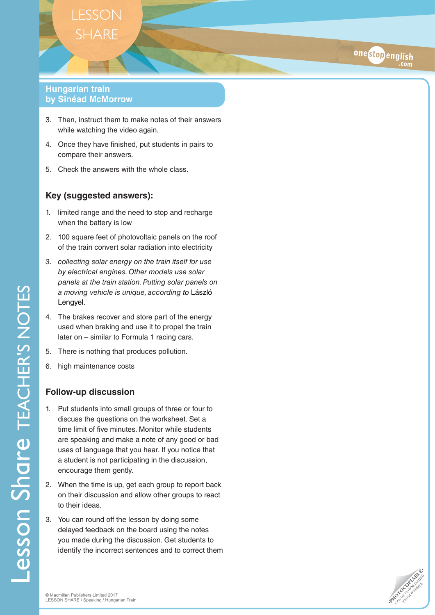## **Hungarian train by Sinéad McMorrow**

- 3. Then, instruct them to make notes of their answers while watching the video again.
- 4. Once they have finished, put students in pairs to compare their answers.
- 5. Check the answers with the whole class.

## **Key (suggested answers):**

- 1. limited range and the need to stop and recharge when the battery is low
- 2. 100 square feet of photovoltaic panels on the roof of the train convert solar radiation into electricity
- *3. collecting solar energy on the train itself for use by electrical engines. Other models use solar panels at the train station. Putting solar panels on a moving vehicle is unique, according to* László Lengyel.
- 4. The brakes recover and store part of the energy used when braking and use it to propel the train later on – similar to Formula 1 racing cars.
- 5. There is nothing that produces pollution.
- 6. high maintenance costs

## **Follow-up discussion**

- 1. Put students into small groups of three or four to discuss the questions on the worksheet. Set a time limit of five minutes. Monitor while students are speaking and make a note of any good or bad uses of language that you hear. If you notice that a student is not participating in the discussion, encourage them gently.
- 2. When the time is up, get each group to report back on their discussion and allow other groups to react to their ideas.
- 3. You can round off the lesson by doing some delayed feedback on the board using the notes you made during the discussion. Get students to identify the incorrect sentences and to correct them



onestopenglish